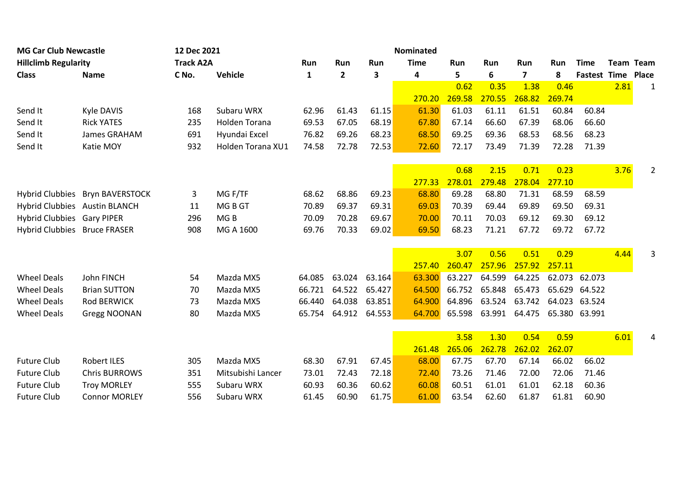| <b>MG Car Club Newcastle</b><br><b>Hillclimb Regularity</b> |                                 | 12 Dec 2021      | <b>Nominated</b>  |        |              |        |                    |        |        |                         |                    |                     |                  |                |
|-------------------------------------------------------------|---------------------------------|------------------|-------------------|--------|--------------|--------|--------------------|--------|--------|-------------------------|--------------------|---------------------|------------------|----------------|
|                                                             |                                 | <b>Track A2A</b> |                   | Run    | Run<br>Run   |        | <b>Time</b><br>Run |        | Run    | Run                     | Run<br><b>Time</b> |                     | <b>Team Team</b> |                |
| <b>Class</b>                                                | <b>Name</b>                     | C No.            | Vehicle           | 1      | $\mathbf{2}$ | 3      | 4                  | 5      | 6      | $\overline{\mathbf{z}}$ | 8                  | <b>Fastest Time</b> |                  | Place          |
|                                                             |                                 |                  |                   |        |              |        |                    | 0.62   | 0.35   | 1.38                    | 0.46               |                     | 2.81             | $\mathbf{1}$   |
|                                                             |                                 |                  |                   |        |              |        | 270.20             | 269.58 | 270.55 | 268.82                  | 269.74             |                     |                  |                |
| Send It                                                     | Kyle DAVIS                      | 168              | Subaru WRX        | 62.96  | 61.43        | 61.15  | 61.30              | 61.03  | 61.11  | 61.51                   | 60.84              | 60.84               |                  |                |
| Send It                                                     | <b>Rick YATES</b>               | 235              | Holden Torana     | 69.53  | 67.05        | 68.19  | 67.80              | 67.14  | 66.60  | 67.39                   | 68.06              | 66.60               |                  |                |
| Send It                                                     | James GRAHAM                    | 691              | Hyundai Excel     | 76.82  | 69.26        | 68.23  | 68.50              | 69.25  | 69.36  | 68.53                   | 68.56              | 68.23               |                  |                |
| Send It                                                     | Katie MOY                       | 932              | Holden Torana XU1 | 74.58  | 72.78        | 72.53  | 72.60              | 72.17  | 73.49  | 71.39                   | 72.28              | 71.39               |                  |                |
|                                                             |                                 |                  |                   |        |              |        |                    |        |        |                         |                    |                     |                  |                |
|                                                             |                                 |                  |                   |        |              |        |                    | 0.68   | 2.15   | 0.71                    | 0.23               |                     | 3.76             | $\overline{2}$ |
|                                                             |                                 |                  |                   |        |              |        | 277.33             | 278.01 | 279.48 | 278.04                  | 277.10             |                     |                  |                |
|                                                             | Hybrid Clubbies Bryn BAVERSTOCK | 3                | MG F/TF           | 68.62  | 68.86        | 69.23  | 68.80              | 69.28  | 68.80  | 71.31                   | 68.59              | 68.59               |                  |                |
| Hybrid Clubbies Austin BLANCH                               |                                 | 11               | MG B GT           | 70.89  | 69.37        | 69.31  | 69.03              | 70.39  | 69.44  | 69.89                   | 69.50              | 69.31               |                  |                |
| Hybrid Clubbies Gary PIPER                                  |                                 | 296              | MG <sub>B</sub>   | 70.09  | 70.28        | 69.67  | 70.00              | 70.11  | 70.03  | 69.12                   | 69.30              | 69.12               |                  |                |
| Hybrid Clubbies Bruce FRASER                                |                                 | 908              | MG A 1600         | 69.76  | 70.33        | 69.02  | 69.50              | 68.23  | 71.21  | 67.72                   | 69.72              | 67.72               |                  |                |
|                                                             |                                 |                  |                   |        |              |        |                    |        |        |                         |                    |                     |                  |                |
|                                                             |                                 |                  |                   |        |              |        |                    | 3.07   | 0.56   | 0.51                    | 0.29               |                     | 4.44             | 3              |
|                                                             |                                 |                  |                   |        |              |        | 257.40             | 260.47 | 257.96 | 257.92                  | 257.11             |                     |                  |                |
| <b>Wheel Deals</b>                                          | John FINCH                      | 54               | Mazda MX5         | 64.085 | 63.024       | 63.164 | 63.300             | 63.227 | 64.599 | 64.225                  | 62.073             | 62.073              |                  |                |
| <b>Wheel Deals</b>                                          | <b>Brian SUTTON</b>             | 70               | Mazda MX5         | 66.721 | 64.522       | 65.427 | 64.500             | 66.752 | 65.848 | 65.473                  |                    | 65.629 64.522       |                  |                |
| <b>Wheel Deals</b>                                          | <b>Rod BERWICK</b>              | 73               | Mazda MX5         | 66.440 | 64.038       | 63.851 | 64.900             | 64.896 | 63.524 | 63.742                  |                    | 64.023 63.524       |                  |                |
| <b>Wheel Deals</b>                                          | Gregg NOONAN                    | 80               | Mazda MX5         | 65.754 | 64.912       | 64.553 | 64.700             | 65.598 | 63.991 | 64.475                  |                    | 65.380 63.991       |                  |                |
|                                                             |                                 |                  |                   |        |              |        |                    |        |        |                         |                    |                     |                  |                |
|                                                             |                                 |                  |                   |        |              |        |                    | 3.58   | 1.30   | 0.54                    | 0.59               |                     | 6.01             |                |
|                                                             |                                 |                  |                   |        |              |        | 261.48             | 265.06 | 262.78 | 262.02                  | 262.07             |                     |                  |                |
| <b>Future Club</b>                                          | <b>Robert ILES</b>              | 305              | Mazda MX5         | 68.30  | 67.91        | 67.45  | 68.00              | 67.75  | 67.70  | 67.14                   | 66.02              | 66.02               |                  |                |
| <b>Future Club</b>                                          | <b>Chris BURROWS</b>            | 351              | Mitsubishi Lancer | 73.01  | 72.43        | 72.18  | 72.40              | 73.26  | 71.46  | 72.00                   | 72.06              | 71.46               |                  |                |
| <b>Future Club</b>                                          | <b>Troy MORLEY</b>              | 555              | Subaru WRX        | 60.93  | 60.36        | 60.62  | 60.08              | 60.51  | 61.01  | 61.01                   | 62.18              | 60.36               |                  |                |
| <b>Future Club</b>                                          | <b>Connor MORLEY</b>            | 556              | Subaru WRX        | 61.45  | 60.90        | 61.75  | 61.00              | 63.54  | 62.60  | 61.87                   | 61.81              | 60.90               |                  |                |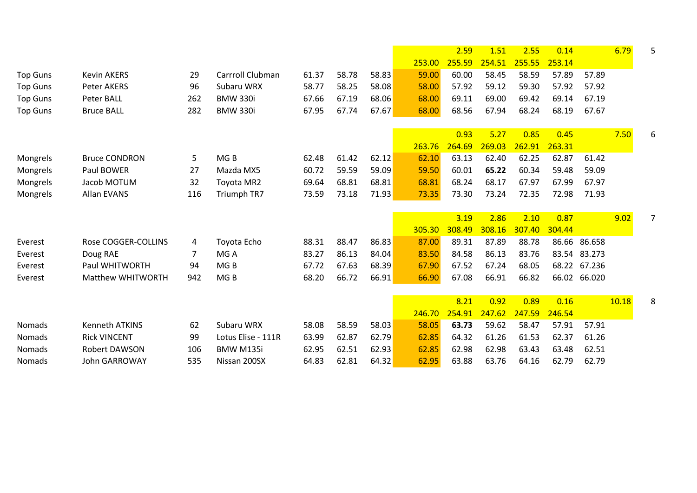|                 |                       |     |                    |       |       |       |        | 2.59   | 1.51   | 2.55   | 0.14   |              | 6.79  | 5 |
|-----------------|-----------------------|-----|--------------------|-------|-------|-------|--------|--------|--------|--------|--------|--------------|-------|---|
|                 |                       |     |                    |       |       |       | 253.00 | 255.59 | 254.51 | 255.55 | 253.14 |              |       |   |
| <b>Top Guns</b> | <b>Kevin AKERS</b>    | 29  | Carrroll Clubman   | 61.37 | 58.78 | 58.83 | 59.00  | 60.00  | 58.45  | 58.59  | 57.89  | 57.89        |       |   |
| <b>Top Guns</b> | Peter AKERS           | 96  | Subaru WRX         | 58.77 | 58.25 | 58.08 | 58.00  | 57.92  | 59.12  | 59.30  | 57.92  | 57.92        |       |   |
| <b>Top Guns</b> | <b>Peter BALL</b>     | 262 | <b>BMW 330i</b>    | 67.66 | 67.19 | 68.06 | 68.00  | 69.11  | 69.00  | 69.42  | 69.14  | 67.19        |       |   |
| <b>Top Guns</b> | <b>Bruce BALL</b>     | 282 | <b>BMW 330i</b>    | 67.95 | 67.74 | 67.67 | 68.00  | 68.56  | 67.94  | 68.24  | 68.19  | 67.67        |       |   |
|                 |                       |     |                    |       |       |       |        | 0.93   | 5.27   | 0.85   | 0.45   |              | 7.50  | 6 |
|                 |                       |     |                    |       |       |       | 263.76 | 264.69 | 269.03 | 262.91 | 263.31 |              |       |   |
| Mongrels        | <b>Bruce CONDRON</b>  | 5   | MG <sub>B</sub>    | 62.48 | 61.42 | 62.12 | 62.10  | 63.13  | 62.40  | 62.25  | 62.87  | 61.42        |       |   |
| Mongrels        | Paul BOWER            | 27  | Mazda MX5          | 60.72 | 59.59 | 59.09 | 59.50  | 60.01  | 65.22  | 60.34  | 59.48  | 59.09        |       |   |
| Mongrels        | Jacob MOTUM           | 32  | Toyota MR2         | 69.64 | 68.81 | 68.81 | 68.81  | 68.24  | 68.17  | 67.97  | 67.99  | 67.97        |       |   |
| Mongrels        | Allan EVANS           | 116 | Triumph TR7        | 73.59 | 73.18 | 71.93 | 73.35  | 73.30  | 73.24  | 72.35  | 72.98  | 71.93        |       |   |
|                 |                       |     |                    |       |       |       |        | 3.19   | 2.86   | 2.10   | 0.87   |              | 9.02  | 7 |
|                 |                       |     |                    |       |       |       | 305.30 | 308.49 | 308.16 | 307.40 | 304.44 |              |       |   |
| Everest         | Rose COGGER-COLLINS   | 4   | Toyota Echo        | 88.31 | 88.47 | 86.83 | 87.00  | 89.31  | 87.89  | 88.78  |        | 86.66 86.658 |       |   |
| Everest         | Doug RAE              | 7   | MG A               | 83.27 | 86.13 | 84.04 | 83.50  | 84.58  | 86.13  | 83.76  |        | 83.54 83.273 |       |   |
| Everest         | Paul WHITWORTH        | 94  | MG <sub>B</sub>    | 67.72 | 67.63 | 68.39 | 67.90  | 67.52  | 67.24  | 68.05  |        | 68.22 67.236 |       |   |
| Everest         | Matthew WHITWORTH     | 942 | MG <sub>B</sub>    | 68.20 | 66.72 | 66.91 | 66.90  | 67.08  | 66.91  | 66.82  |        | 66.02 66.020 |       |   |
|                 |                       |     |                    |       |       |       |        | 8.21   | 0.92   | 0.89   | 0.16   |              | 10.18 | 8 |
|                 |                       |     |                    |       |       |       | 246.70 | 254.91 | 247.62 | 247.59 | 246.54 |              |       |   |
| Nomads          | <b>Kenneth ATKINS</b> | 62  | Subaru WRX         | 58.08 | 58.59 | 58.03 | 58.05  | 63.73  | 59.62  | 58.47  | 57.91  | 57.91        |       |   |
| Nomads          | <b>Rick VINCENT</b>   | 99  | Lotus Elise - 111R | 63.99 | 62.87 | 62.79 | 62.85  | 64.32  | 61.26  | 61.53  | 62.37  | 61.26        |       |   |
| Nomads          | Robert DAWSON         | 106 | <b>BMW M135i</b>   | 62.95 | 62.51 | 62.93 | 62.85  | 62.98  | 62.98  | 63.43  | 63.48  | 62.51        |       |   |
| Nomads          | <b>John GARROWAY</b>  | 535 | Nissan 200SX       | 64.83 | 62.81 | 64.32 | 62.95  | 63.88  | 63.76  | 64.16  | 62.79  | 62.79        |       |   |
|                 |                       |     |                    |       |       |       |        |        |        |        |        |              |       |   |